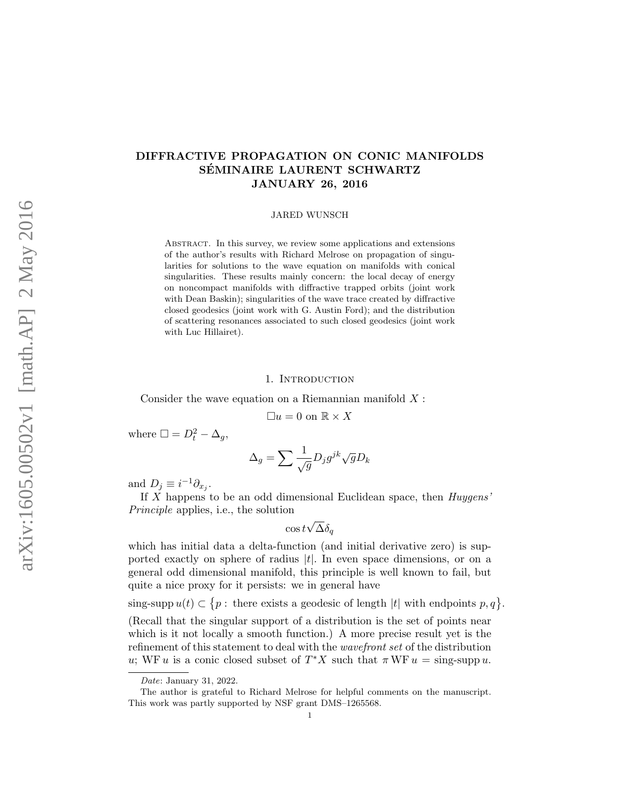# DIFFRACTIVE PROPAGATION ON CONIC MANIFOLDS SÉMINAIRE LAURENT SCHWARTZ JANUARY 26, 2016

### JARED WUNSCH

Abstract. In this survey, we review some applications and extensions of the author's results with Richard Melrose on propagation of singularities for solutions to the wave equation on manifolds with conical singularities. These results mainly concern: the local decay of energy on noncompact manifolds with diffractive trapped orbits (joint work with Dean Baskin); singularities of the wave trace created by diffractive closed geodesics (joint work with G. Austin Ford); and the distribution of scattering resonances associated to such closed geodesics (joint work with Luc Hillairet).

# 1. INTRODUCTION

<span id="page-0-0"></span>Consider the wave equation on a Riemannian manifold  $X$ :

$$
\Box u = 0 \text{ on } \mathbb{R} \times X
$$

where  $\Box = D_t^2 - \Delta_g$ ,

$$
\Delta_g = \sum \frac{1}{\sqrt{g}} D_j g^{jk} \sqrt{g} D_k
$$

and  $D_j \equiv i^{-1} \partial_{x_j}$ .

If  $X$  happens to be an odd dimensional Euclidean space, then  $Huygens'$ Principle applies, i.e., the solution

$$
\cos t\sqrt{\Delta}\delta_q
$$

which has initial data a delta-function (and initial derivative zero) is supported exactly on sphere of radius  $|t|$ . In even space dimensions, or on a general odd dimensional manifold, this principle is well known to fail, but quite a nice proxy for it persists: we in general have

sing-supp  $u(t) \subset \{p : \text{there exists a geodesic of length } |t| \text{ with endpoints } p, q\}.$ (Recall that the singular support of a distribution is the set of points near which is it not locally a smooth function.) A more precise result yet is the refinement of this statement to deal with the wavefront set of the distribution u; WF u is a conic closed subset of  $T^*X$  such that  $\pi WF u = \text{sing-supp } u$ .

Date: January 31, 2022.

The author is grateful to Richard Melrose for helpful comments on the manuscript. This work was partly supported by NSF grant DMS–1265568.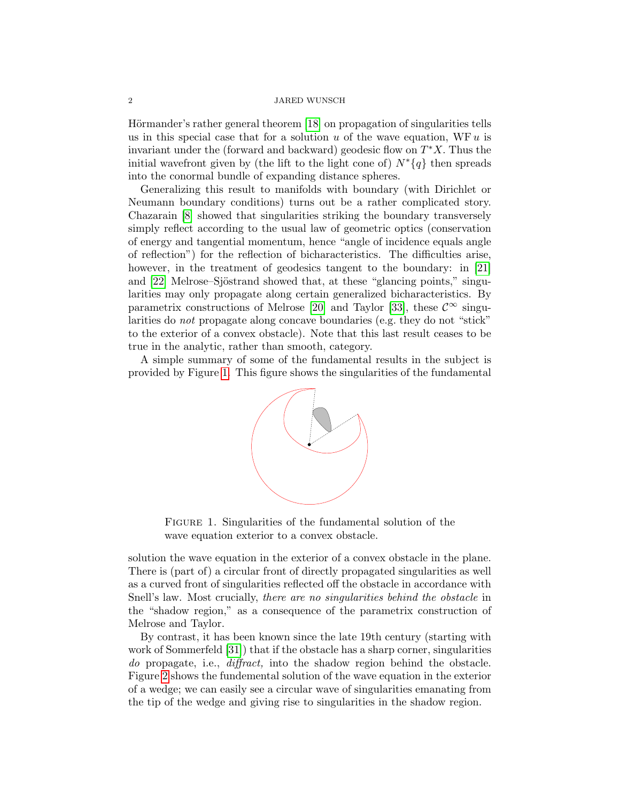Hörmander's rather general theorem [\[18\]](#page-13-0) on propagation of singularities tells us in this special case that for a solution  $u$  of the wave equation, WF  $u$  is invariant under the (forward and backward) geodesic flow on  $T^*X$ . Thus the initial wavefront given by (the lift to the light cone of)  $N^*\{q\}$  then spreads into the conormal bundle of expanding distance spheres.

Generalizing this result to manifolds with boundary (with Dirichlet or Neumann boundary conditions) turns out be a rather complicated story. Chazarain [\[8\]](#page-13-1) showed that singularities striking the boundary transversely simply reflect according to the usual law of geometric optics (conservation of energy and tangential momentum, hence "angle of incidence equals angle of reflection") for the reflection of bicharacteristics. The difficulties arise, however, in the treatment of geodesics tangent to the boundary: in [\[21\]](#page-13-2) and  $[22]$  Melrose–Sjöstrand showed that, at these "glancing points," singularities may only propagate along certain generalized bicharacteristics. By parametrix constructions of Melrose [\[20\]](#page-13-4) and Taylor [\[33\]](#page-14-0), these  $\mathcal{C}^{\infty}$  singularities do not propagate along concave boundaries (e.g. they do not "stick" to the exterior of a convex obstacle). Note that this last result ceases to be true in the analytic, rather than smooth, category.

A simple summary of some of the fundamental results in the subject is provided by Figure [1.](#page-0-0) This figure shows the singularities of the fundamental



FIGURE 1. Singularities of the fundamental solution of the wave equation exterior to a convex obstacle.

solution the wave equation in the exterior of a convex obstacle in the plane. There is (part of) a circular front of directly propagated singularities as well as a curved front of singularities reflected off the obstacle in accordance with Snell's law. Most crucially, there are no singularities behind the obstacle in the "shadow region," as a consequence of the parametrix construction of Melrose and Taylor.

By contrast, it has been known since the late 19th century (starting with work of Sommerfeld [\[31\]](#page-14-1)) that if the obstacle has a sharp corner, singularities do propagate, i.e., *diffract*, into the shadow region behind the obstacle. Figure [2](#page-2-0) shows the fundemental solution of the wave equation in the exterior of a wedge; we can easily see a circular wave of singularities emanating from the tip of the wedge and giving rise to singularities in the shadow region.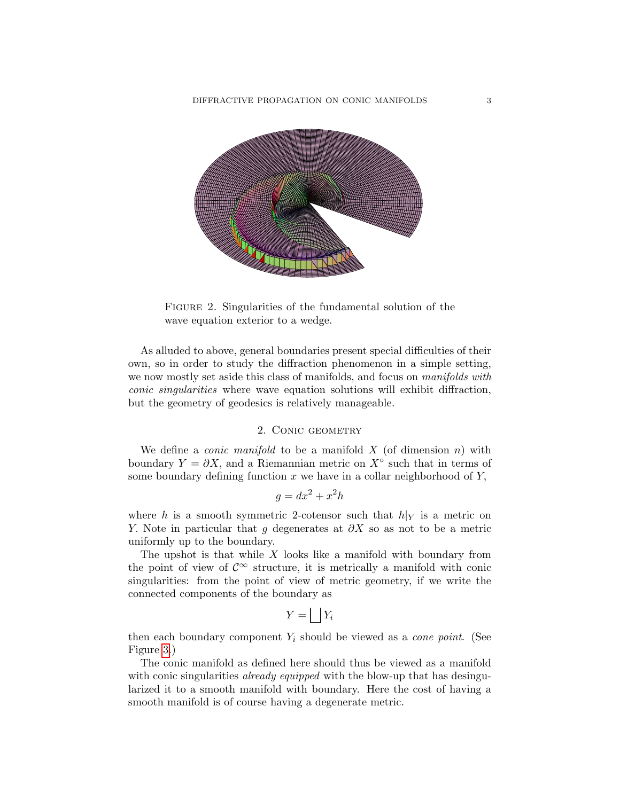

<span id="page-2-0"></span>FIGURE 2. Singularities of the fundamental solution of the wave equation exterior to a wedge.

As alluded to above, general boundaries present special difficulties of their own, so in order to study the diffraction phenomenon in a simple setting, we now mostly set aside this class of manifolds, and focus on manifolds with conic singularities where wave equation solutions will exhibit diffraction, but the geometry of geodesics is relatively manageable.

# 2. Conic geometry

We define a *conic manifold* to be a manifold  $X$  (of dimension  $n$ ) with boundary  $Y = \partial X$ , and a Riemannian metric on  $X^{\circ}$  such that in terms of some boundary defining function  $x$  we have in a collar neighborhood of  $Y$ ,

$$
g = dx^2 + x^2h
$$

where h is a smooth symmetric 2-cotensor such that  $h|_Y$  is a metric on Y. Note in particular that q degenerates at  $\partial X$  so as not to be a metric uniformly up to the boundary.

The upshot is that while  $X$  looks like a manifold with boundary from the point of view of  $\mathcal{C}^{\infty}$  structure, it is metrically a manifold with conic singularities: from the point of view of metric geometry, if we write the connected components of the boundary as

$$
Y = \bigsqcup Y_i
$$

then each boundary component  $Y_i$  should be viewed as a *cone point*. (See Figure [3.](#page-3-0))

The conic manifold as defined here should thus be viewed as a manifold with conic singularities *already equipped* with the blow-up that has desingularized it to a smooth manifold with boundary. Here the cost of having a smooth manifold is of course having a degenerate metric.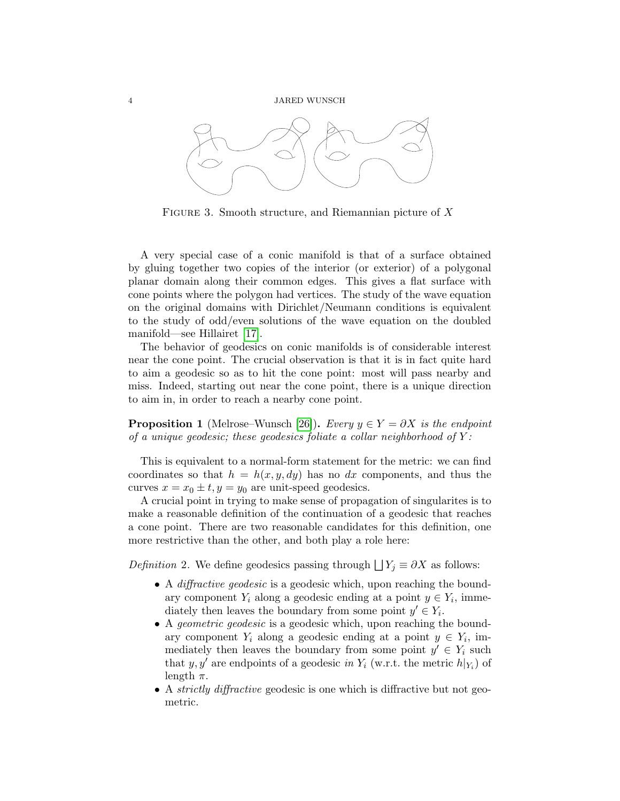

<span id="page-3-0"></span>FIGURE 3. Smooth structure, and Riemannian picture of  $X$ 

A very special case of a conic manifold is that of a surface obtained by gluing together two copies of the interior (or exterior) of a polygonal planar domain along their common edges. This gives a flat surface with cone points where the polygon had vertices. The study of the wave equation on the original domains with Dirichlet/Neumann conditions is equivalent to the study of odd/even solutions of the wave equation on the doubled manifold—see Hillairet [\[17\]](#page-13-5).

The behavior of geodesics on conic manifolds is of considerable interest near the cone point. The crucial observation is that it is in fact quite hard to aim a geodesic so as to hit the cone point: most will pass nearby and miss. Indeed, starting out near the cone point, there is a unique direction to aim in, in order to reach a nearby cone point.

**Proposition 1** (Melrose–Wunsch [\[26\]](#page-14-2)). Every  $y \in Y = \partial X$  is the endpoint of a unique geodesic; these geodesics foliate a collar neighborhood of  $Y$ :

This is equivalent to a normal-form statement for the metric: we can find coordinates so that  $h = h(x, y, dy)$  has no dx components, and thus the curves  $x = x_0 \pm t$ ,  $y = y_0$  are unit-speed geodesics.

A crucial point in trying to make sense of propagation of singularites is to make a reasonable definition of the continuation of a geodesic that reaches a cone point. There are two reasonable candidates for this definition, one more restrictive than the other, and both play a role here:

*Definition* 2. We define geodesics passing through  $\bigcup Y_j \equiv \partial X$  as follows:

- A *diffractive geodesic* is a geodesic which, upon reaching the boundary component  $Y_i$  along a geodesic ending at a point  $y \in Y_i$ , immediately then leaves the boundary from some point  $y' \in Y_i$ .
- A *geometric geodesic* is a geodesic which, upon reaching the boundary component  $Y_i$  along a geodesic ending at a point  $y \in Y_i$ , immediately then leaves the boundary from some point  $y' \in Y_i$  such that y, y' are endpoints of a geodesic in  $Y_i$  (w.r.t. the metric  $h|_{Y_i}$ ) of length  $\pi$ .
- A *strictly diffractive* geodesic is one which is diffractive but not geometric.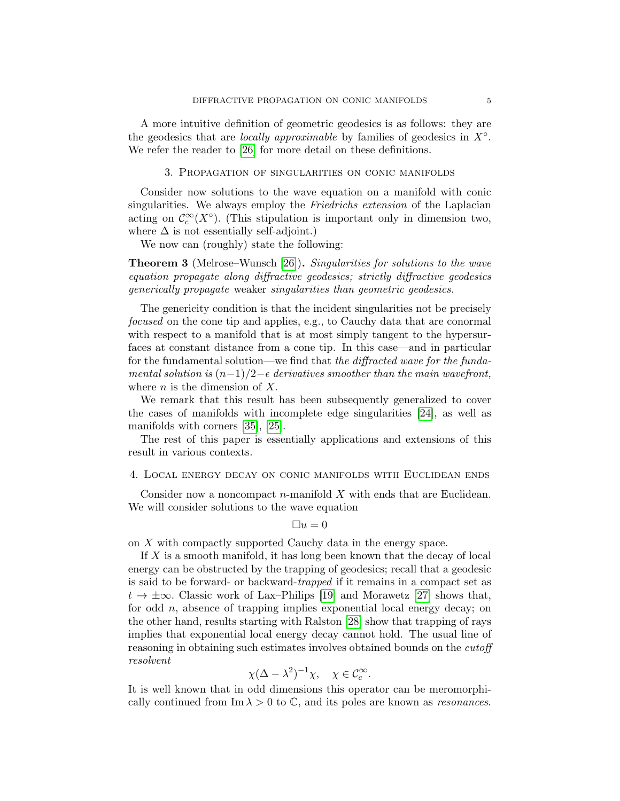A more intuitive definition of geometric geodesics is as follows: they are the geodesics that are *locally approximable* by families of geodesics in  $X^\circ$ . We refer the reader to [\[26\]](#page-14-2) for more detail on these definitions.

## 3. Propagation of singularities on conic manifolds

Consider now solutions to the wave equation on a manifold with conic singularities. We always employ the Friedrichs extension of the Laplacian acting on  $\mathcal{C}_c^{\infty}(X^{\circ})$ . (This stipulation is important only in dimension two, where  $\Delta$  is not essentially self-adjoint.)

We now can (roughly) state the following:

Theorem 3 (Melrose–Wunsch [\[26\]](#page-14-2)). Singularities for solutions to the wave equation propagate along diffractive geodesics; strictly diffractive geodesics generically propagate weaker singularities than geometric geodesics.

The genericity condition is that the incident singularities not be precisely focused on the cone tip and applies, e.g., to Cauchy data that are conormal with respect to a manifold that is at most simply tangent to the hypersurfaces at constant distance from a cone tip. In this case—and in particular for the fundamental solution—we find that the diffracted wave for the fundamental solution is  $(n-1)/2-\epsilon$  derivatives smoother than the main wavefront, where  $n$  is the dimension of  $X$ .

We remark that this result has been subsequently generalized to cover the cases of manifolds with incomplete edge singularities [\[24\]](#page-14-3), as well as manifolds with corners [\[35\]](#page-14-4), [\[25\]](#page-14-5).

The rest of this paper is essentially applications and extensions of this result in various contexts.

# <span id="page-4-0"></span>4. Local energy decay on conic manifolds with Euclidean ends

Consider now a noncompact  $n$ -manifold  $X$  with ends that are Euclidean. We will consider solutions to the wave equation

$$
\Box u = 0
$$

on X with compactly supported Cauchy data in the energy space.

If  $X$  is a smooth manifold, it has long been known that the decay of local energy can be obstructed by the trapping of geodesics; recall that a geodesic is said to be forward- or backward-trapped if it remains in a compact set as  $t \to \pm \infty$ . Classic work of Lax–Philips [\[19\]](#page-13-6) and Morawetz [\[27\]](#page-14-6) shows that, for odd n, absence of trapping implies exponential local energy decay; on the other hand, results starting with Ralston [\[28\]](#page-14-7) show that trapping of rays implies that exponential local energy decay cannot hold. The usual line of reasoning in obtaining such estimates involves obtained bounds on the cutoff resolvent

$$
\chi(\Delta - \lambda^2)^{-1}\chi, \quad \chi \in \mathcal{C}_c^\infty.
$$

It is well known that in odd dimensions this operator can be meromorphically continued from  $\text{Im }\lambda > 0$  to  $\mathbb{C}$ , and its poles are known as *resonances*.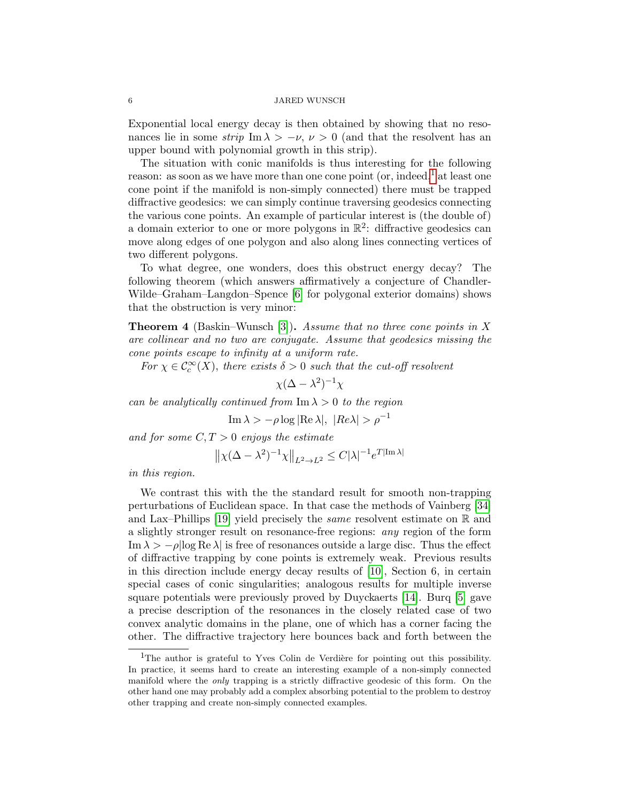Exponential local energy decay is then obtained by showing that no resonances lie in some strip Im  $\lambda > -\nu$ ,  $\nu > 0$  (and that the resolvent has an upper bound with polynomial growth in this strip).

The situation with conic manifolds is thus interesting for the following reason: as soon as we have more than one cone point (or, indeed,<sup>[1](#page-5-0)</sup> at least one cone point if the manifold is non-simply connected) there must be trapped diffractive geodesics: we can simply continue traversing geodesics connecting the various cone points. An example of particular interest is (the double of) a domain exterior to one or more polygons in  $\mathbb{R}^2$ : diffractive geodesics can move along edges of one polygon and also along lines connecting vertices of two different polygons.

To what degree, one wonders, does this obstruct energy decay? The following theorem (which answers affirmatively a conjecture of Chandler-Wilde–Graham–Langdon–Spence [\[6\]](#page-13-7) for polygonal exterior domains) shows that the obstruction is very minor:

<span id="page-5-1"></span>**Theorem 4** (Baskin–Wunsch [\[3\]](#page-13-8)). Assume that no three cone points in X are collinear and no two are conjugate. Assume that geodesics missing the cone points escape to infinity at a uniform rate.

For  $\chi \in \mathcal{C}_c^{\infty}(X)$ , there exists  $\delta > 0$  such that the cut-off resolvent

$$
\chi(\Delta - \lambda^2)^{-1}\chi
$$

can be analytically continued from  $\text{Im }\lambda > 0$  to the region

Im 
$$
\lambda > -\rho \log |\text{Re }\lambda|, |Re \lambda| > \rho^{-1}
$$

and for some  $C, T > 0$  enjoys the estimate

$$
\big\| \chi(\Delta - \lambda^2)^{-1} \chi \big\|_{L^2 \to L^2} \leq C |\lambda|^{-1} e^{T |\text{Im }\lambda|}
$$

in this region.

We contrast this with the the standard result for smooth non-trapping perturbations of Euclidean space. In that case the methods of Vainberg [\[34\]](#page-14-8) and Lax–Phillips [\[19\]](#page-13-6) yield precisely the *same* resolvent estimate on  $\mathbb R$  and a slightly stronger result on resonance-free regions: any region of the form Im  $\lambda > -\rho |\log \text{Re }\lambda|$  is free of resonances outside a large disc. Thus the effect of diffractive trapping by cone points is extremely weak. Previous results in this direction include energy decay results of [\[10\]](#page-13-9), Section 6, in certain special cases of conic singularities; analogous results for multiple inverse square potentials were previously proved by Duyckaerts [\[14\]](#page-13-10). Burq [\[5\]](#page-13-11) gave a precise description of the resonances in the closely related case of two convex analytic domains in the plane, one of which has a corner facing the other. The diffractive trajectory here bounces back and forth between the

<span id="page-5-0"></span> $1$ The author is grateful to Yves Colin de Verdière for pointing out this possibility. In practice, it seems hard to create an interesting example of a non-simply connected manifold where the only trapping is a strictly diffractive geodesic of this form. On the other hand one may probably add a complex absorbing potential to the problem to destroy other trapping and create non-simply connected examples.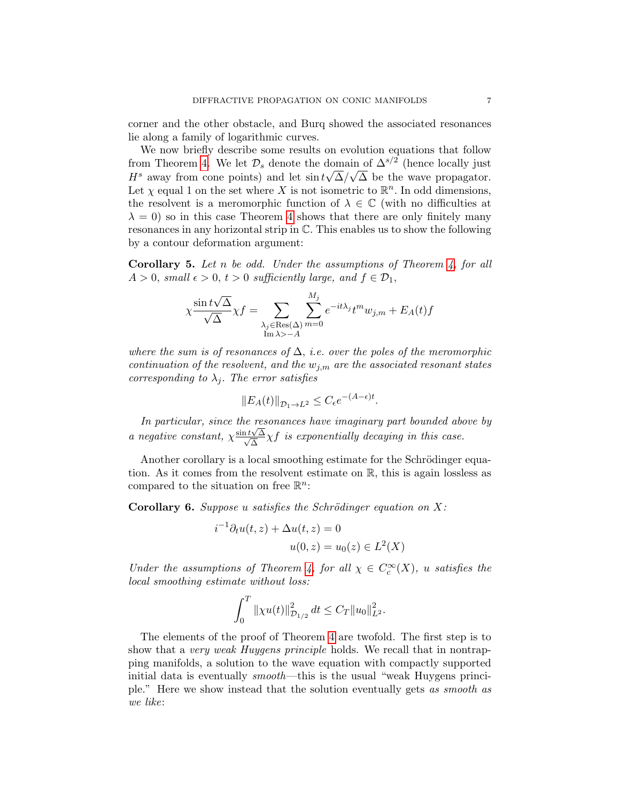corner and the other obstacle, and Burq showed the associated resonances lie along a family of logarithmic curves.

We now briefly describe some results on evolution equations that follow from Theorem [4.](#page-5-1) We let  $\mathcal{D}_s$  denote the domain of  $\Delta^{s/2}$  (hence locally just  $H^s$  away from cone points) and let  $\sin t\sqrt{\Delta}/\sqrt{\Delta}$  be the wave propagator. Let  $\chi$  equal 1 on the set where X is not isometric to  $\mathbb{R}^n$ . In odd dimensions, the resolvent is a meromorphic function of  $\lambda \in \mathbb{C}$  (with no difficulties at  $\lambda = 0$ ) so in this case Theorem [4](#page-5-1) shows that there are only finitely many resonances in any horizontal strip in C. This enables us to show the following by a contour deformation argument:

**Corollary 5.** Let n be odd. Under the assumptions of Theorem [4,](#page-5-1) for all  $A > 0$ , small  $\epsilon > 0$ ,  $t > 0$  sufficiently large, and  $f \in \mathcal{D}_1$ ,

$$
\chi \frac{\sin t \sqrt{\Delta}}{\sqrt{\Delta}} \chi f = \sum_{\substack{\lambda_j \in \text{Res}(\Delta) \\ \text{Im }\lambda > -A}} \sum_{m=0}^{M_j} e^{-it\lambda_j} t^m w_{j,m} + E_A(t) f
$$

where the sum is of resonances of  $\Delta$ , i.e. over the poles of the meromorphic continuation of the resolvent, and the  $w_{j,m}$  are the associated resonant states corresponding to  $\lambda_i$ . The error satisfies

$$
||E_A(t)||_{\mathcal{D}_1 \to L^2} \le C_{\epsilon} e^{-(A-\epsilon)t}.
$$

In particular, since the resonances have imaginary part bounded above by a negative constant,  $\chi \frac{\sin t \sqrt{\Delta}}{\sqrt{\Delta}}$  $\frac{\sqrt{\Delta}}{\Delta} \chi f$  is exponentially decaying in this case.

Another corollary is a local smoothing estimate for the Schrödinger equation. As it comes from the resolvent estimate on R, this is again lossless as compared to the situation on free  $\mathbb{R}^n$ :

Corollary 6. Suppose u satisfies the Schrödinger equation on  $X$ :

$$
i^{-1}\partial_t u(t, z) + \Delta u(t, z) = 0
$$
  

$$
u(0, z) = u_0(z) \in L^2(X)
$$

Under the assumptions of Theorem [4,](#page-5-1) for all  $\chi \in C_c^{\infty}(X)$ , u satisfies the local smoothing estimate without loss:

$$
\int_0^T \|\chi u(t)\|_{\mathcal{D}_{1/2}}^2 dt \leq C_T \|u_0\|_{L^2}^2.
$$

The elements of the proof of Theorem [4](#page-5-1) are twofold. The first step is to show that a very weak Huygens principle holds. We recall that in nontrapping manifolds, a solution to the wave equation with compactly supported initial data is eventually smooth—this is the usual "weak Huygens principle." Here we show instead that the solution eventually gets as smooth as we like: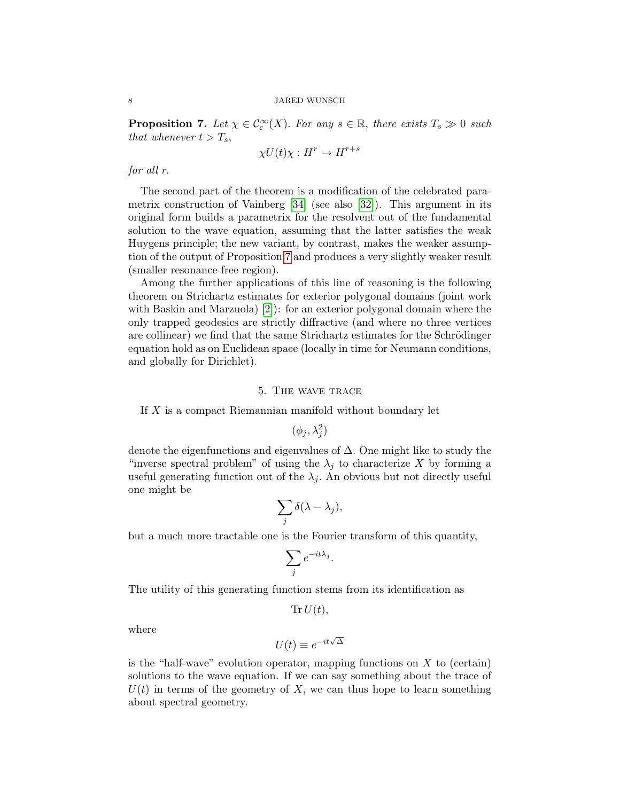<span id="page-7-0"></span>**Proposition 7.** Let  $\chi \in C_c^{\infty}(X)$ . For any  $s \in \mathbb{R}$ , there exists  $T_s \gg 0$  such that whenever  $t > T_s$ ,

$$
\chi U(t)\chi : H^r \to H^{r+s}
$$

for all r.

The second part of the theorem is a modification of the celebrated parametrix construction of Vainberg  $[34]$  (see also  $[32]$ ). This argument in its original form builds a parametrix for the resolvent out of the fundamental solution to the wave equation, assuming that the latter satisfies the weak Huygens principle; the new variant, by contrast, makes the weaker assumption of the output of Proposition [7](#page-7-0) and produces a very slightly weaker result (smaller resonance-free region).

Among the further applications of this line of reasoning is the following theorem on Strichartz estimates for exterior polygonal domains (joint work with Baskin and Marzuola) [\[2\]](#page-13-12)): for an exterior polygonal domain where the only trapped geodesics are strictly diffractive (and where no three vertices are collinear) we find that the same Strichartz estimates for the Schrödinger equation hold as on Euclidean space (locally in time for Neumann conditions, and globally for Dirichlet).

### 5. The wave trace

If X is a compact Riemannian manifold without boundary let

 $(\phi_j, \lambda_j^2)$ 

denote the eigenfunctions and eigenvalues of ∆. One might like to study the "inverse spectral problem" of using the  $\lambda_j$  to characterize X by forming a useful generating function out of the  $\lambda_j$ . An obvious but not directly useful one might be

$$
\sum_j \delta(\lambda - \lambda_j),
$$

but a much more tractable one is the Fourier transform of this quantity,

$$
\sum_j e^{-it\lambda_j}.
$$

The utility of this generating function stems from its identification as

 $\text{Tr} U(t)$ ,

where

$$
U(t) \equiv e^{-it\sqrt{\Delta}}
$$

is the "half-wave" evolution operator, mapping functions on  $X$  to (certain) solutions to the wave equation. If we can say something about the trace of  $U(t)$  in terms of the geometry of X, we can thus hope to learn something about spectral geometry.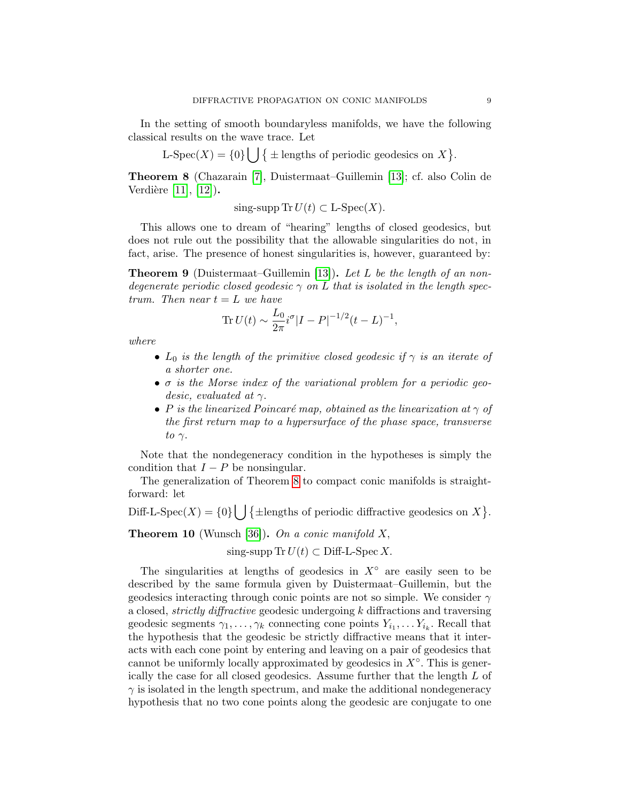In the setting of smooth boundaryless manifolds, we have the following classical results on the wave trace. Let

L-Spec(X) = {0}  $\left| \right|$  {  $\pm$  lengths of periodic geodesics on X}.

<span id="page-8-0"></span>Theorem 8 (Chazarain [\[7\]](#page-13-13), Duistermaat–Guillemin [\[13\]](#page-13-14); cf. also Colin de Verdière  $[11]$ ,  $[12]$ ).

sing-supp Tr  $U(t) \subset L$ -Spec $(X)$ .

This allows one to dream of "hearing" lengths of closed geodesics, but does not rule out the possibility that the allowable singularities do not, in fact, arise. The presence of honest singularities is, however, guaranteed by:

**Theorem 9** (Duistermaat–Guillemin [\[13\]](#page-13-14)). Let L be the length of an nondegenerate periodic closed geodesic  $\gamma$  on L that is isolated in the length spectrum. Then near  $t = L$  we have

$$
\text{Tr}\,U(t) \sim \frac{L_0}{2\pi} i^{\sigma} |I - P|^{-1/2} (t - L)^{-1},
$$

where

- $L_0$  is the length of the primitive closed geodesic if  $\gamma$  is an iterate of a shorter one.
- $\bullet$   $\sigma$  is the Morse index of the variational problem for a periodic geodesic, evaluated at  $\gamma$ .
- P is the linearized Poincaré map, obtained as the linearization at  $\gamma$  of the first return map to a hypersurface of the phase space, transverse to  $\gamma$ .

Note that the nondegeneracy condition in the hypotheses is simply the condition that  $I - P$  be nonsingular.

The generalization of Theorem [8](#page-8-0) to compact conic manifolds is straightforward: let

Diff-L-Spec(X) = {0}\left\lengths of periodic diffractive geodesics on X }.

**Theorem 10** (Wunsch [\[36\]](#page-14-10)). On a conic manifold  $X$ ,

sing-supp  $\text{Tr } U(t) \subset \text{Diff-L-Spec } X$ .

The singularities at lengths of geodesics in  $X^{\circ}$  are easily seen to be described by the same formula given by Duistermaat–Guillemin, but the geodesics interacting through conic points are not so simple. We consider  $\gamma$ a closed, strictly diffractive geodesic undergoing k diffractions and traversing geodesic segments  $\gamma_1, \ldots, \gamma_k$  connecting cone points  $Y_{i_1}, \ldots, Y_{i_k}$ . Recall that the hypothesis that the geodesic be strictly diffractive means that it interacts with each cone point by entering and leaving on a pair of geodesics that cannot be uniformly locally approximated by geodesics in  $X^{\circ}$ . This is generically the case for all closed geodesics. Assume further that the length L of  $\gamma$  is isolated in the length spectrum, and make the additional nondegeneracy hypothesis that no two cone points along the geodesic are conjugate to one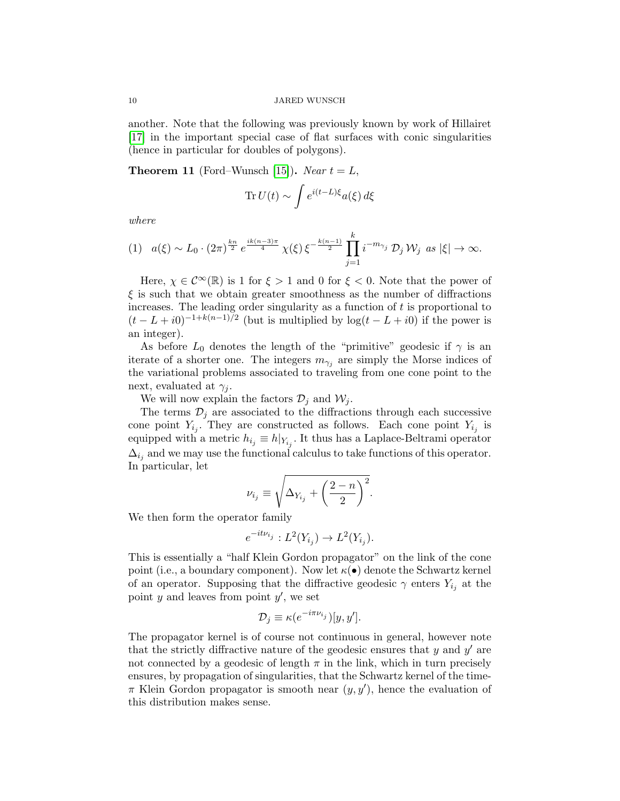another. Note that the following was previously known by work of Hillairet [\[17\]](#page-13-5) in the important special case of flat surfaces with conic singularities (hence in particular for doubles of polygons).

<span id="page-9-0"></span>**Theorem 11** (Ford–Wunsch [\[15\]](#page-13-17)). Near  $t = L$ ,

$$
\operatorname{Tr} U(t) \sim \int e^{i(t-L)\xi} a(\xi) d\xi
$$

where

<span id="page-9-1"></span>
$$
(1) \quad a(\xi) \sim L_0 \cdot (2\pi)^{\frac{kn}{2}} e^{\frac{ik(n-3)\pi}{4}} \chi(\xi) \xi^{-\frac{k(n-1)}{2}} \prod_{j=1}^k i^{-m_{\gamma_j}} \mathcal{D}_j \mathcal{W}_j \text{ as } |\xi| \to \infty.
$$

Here,  $\chi \in C^{\infty}(\mathbb{R})$  is 1 for  $\xi > 1$  and 0 for  $\xi < 0$ . Note that the power of  $\xi$  is such that we obtain greater smoothness as the number of diffractions increases. The leading order singularity as a function of  $t$  is proportional to  $(t - L + i0)^{-1+k(n-1)/2}$  (but is multiplied by  $log(t - L + i0)$  if the power is an integer).

As before  $L_0$  denotes the length of the "primitive" geodesic if  $\gamma$  is an iterate of a shorter one. The integers  $m_{\gamma_j}$  are simply the Morse indices of the variational problems associated to traveling from one cone point to the next, evaluated at  $\gamma_i$ .

We will now explain the factors  $\mathcal{D}_j$  and  $\mathcal{W}_j$ .

The terms  $\mathcal{D}_j$  are associated to the diffractions through each successive cone point  $Y_{i_j}$ . They are constructed as follows. Each cone point  $Y_{i_j}$  is equipped with a metric  $h_{i_j} \equiv h|_{Y_{i_j}}$ . It thus has a Laplace-Beltrami operator  $\Delta_{i_j}$  and we may use the functional calculus to take functions of this operator. In particular, let

$$
\nu_{i_j} \equiv \sqrt{\Delta_{Y_{i_j}} + \left(\frac{2-n}{2}\right)^2}.
$$

We then form the operator family

$$
e^{-it\nu_{i_j}}:L^2(Y_{i_j})\to L^2(Y_{i_j}).
$$

This is essentially a "half Klein Gordon propagator" on the link of the cone point (i.e., a boundary component). Now let  $\kappa(\bullet)$  denote the Schwartz kernel of an operator. Supposing that the diffractive geodesic  $\gamma$  enters  $Y_{i_j}$  at the point  $y$  and leaves from point  $y'$ , we set

$$
\mathcal{D}_j \equiv \kappa(e^{-i\pi\nu_{i_j}})[y, y'].
$$

The propagator kernel is of course not continuous in general, however note that the strictly diffractive nature of the geodesic ensures that  $y$  and  $y'$  are not connected by a geodesic of length  $\pi$  in the link, which in turn precisely ensures, by propagation of singularities, that the Schwartz kernel of the time- $\pi$  Klein Gordon propagator is smooth near  $(y, y')$ , hence the evaluation of this distribution makes sense.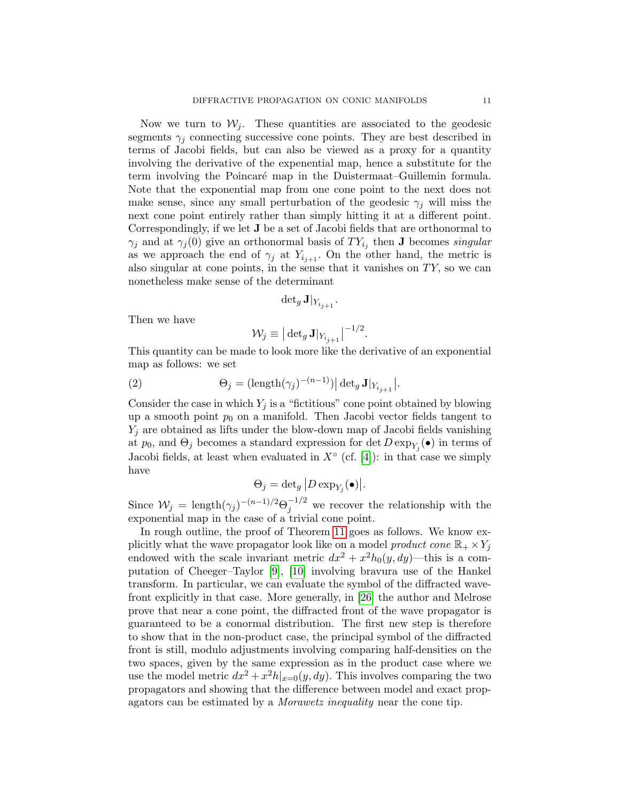Now we turn to  $W_i$ . These quantities are associated to the geodesic segments  $\gamma_i$  connecting successive cone points. They are best described in terms of Jacobi fields, but can also be viewed as a proxy for a quantity involving the derivative of the expenential map, hence a substitute for the term involving the Poincar´e map in the Duistermaat–Guillemin formula. Note that the exponential map from one cone point to the next does not make sense, since any small perturbation of the geodesic  $\gamma_i$  will miss the next cone point entirely rather than simply hitting it at a different point. Correspondingly, if we let J be a set of Jacobi fields that are orthonormal to  $\gamma_j$  and at  $\gamma_j(0)$  give an orthonormal basis of  $TY_{i_j}$  then **J** becomes *singular* as we approach the end of  $\gamma_j$  at  $Y_{i_{j+1}}$ . On the other hand, the metric is also singular at cone points, in the sense that it vanishes on  $TY$ , so we can nonetheless make sense of the determinant

$$
\det\nolimits_g \mathbf{J}|_{Y_{i_{j+1}}}.
$$

Then we have

$$
\mathcal{W}_j \equiv \big|\det\nolimits_g \mathbf{J}|_{Y_{i_{j+1}}}\big|^{-1/2}.
$$

This quantity can be made to look more like the derivative of an exponential map as follows: we set

(2) 
$$
\Theta_j = (\text{length}(\gamma_j)^{-(n-1)}) |\det_g \mathbf{J}|_{Y_{i_{j+1}}}.
$$

Consider the case in which  $Y_j$  is a "fictitious" cone point obtained by blowing up a smooth point  $p_0$  on a manifold. Then Jacobi vector fields tangent to  $Y_i$  are obtained as lifts under the blow-down map of Jacobi fields vanishing at  $p_0$ , and  $\Theta_j$  becomes a standard expression for det  $D \exp_{Y_j}(\bullet)$  in terms of Jacobi fields, at least when evaluated in  $X^{\circ}$  (cf. [\[4\]](#page-13-18)): in that case we simply have

$$
\Theta_j = \det_g \left| D \exp_{Y_j}(\bullet) \right|.
$$

Since  $W_j = \text{length}(\gamma_j)^{-(n-1)/2} \Theta_j^{-1/2}$  we recover the relationship with the exponential map in the case of a trivial cone point.

In rough outline, the proof of Theorem [11](#page-9-0) goes as follows. We know explicitly what the wave propagator look like on a model product cone  $\mathbb{R}_+ \times Y_j$ endowed with the scale invariant metric  $dx^2 + x^2 h_0(y, dy)$ —this is a computation of Cheeger–Taylor [\[9\]](#page-13-19), [\[10\]](#page-13-9) involving bravura use of the Hankel transform. In particular, we can evaluate the symbol of the diffracted wavefront explicitly in that case. More generally, in [\[26\]](#page-14-2) the author and Melrose prove that near a cone point, the diffracted front of the wave propagator is guaranteed to be a conormal distribution. The first new step is therefore to show that in the non-product case, the principal symbol of the diffracted front is still, modulo adjustments involving comparing half-densities on the two spaces, given by the same expression as in the product case where we use the model metric  $dx^2 + x^2h|_{x=0}(y, dy)$ . This involves comparing the two propagators and showing that the difference between model and exact propagators can be estimated by a Morawetz inequality near the cone tip.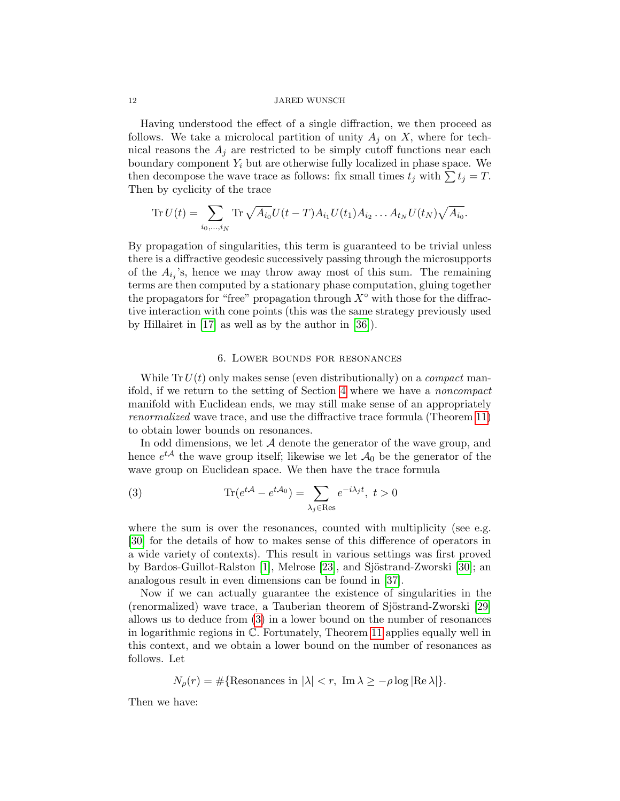Having understood the effect of a single diffraction, we then proceed as follows. We take a microlocal partition of unity  $A_i$  on X, where for technical reasons the  $A_i$  are restricted to be simply cutoff functions near each boundary component  $Y_i$  but are otherwise fully localized in phase space. We then decompose the wave trace as follows: fix small times  $t_j$  with  $\sum t_j = T$ . Then by cyclicity of the trace

Tr 
$$
U(t) = \sum_{i_0, ..., i_N}
$$
 Tr  $\sqrt{A_{i_0}} U(t - T) A_{i_1} U(t_1) A_{i_2} ... A_{t_N} U(t_N) \sqrt{A_{i_0}}$ .

By propagation of singularities, this term is guaranteed to be trivial unless there is a diffractive geodesic successively passing through the microsupports of the  $A_{i_j}$ 's, hence we may throw away most of this sum. The remaining terms are then computed by a stationary phase computation, gluing together the propagators for "free" propagation through  $X^{\circ}$  with those for the diffractive interaction with cone points (this was the same strategy previously used by Hillairet in [\[17\]](#page-13-5) as well as by the author in [\[36\]](#page-14-10)).

## 6. Lower bounds for resonances

While  $Tr U(t)$  only makes sense (even distributionally) on a *compact* manifold, if we return to the setting of Section [4](#page-4-0) where we have a noncompact manifold with Euclidean ends, we may still make sense of an appropriately renormalized wave trace, and use the diffractive trace formula (Theorem [11\)](#page-9-0) to obtain lower bounds on resonances.

In odd dimensions, we let  $A$  denote the generator of the wave group, and hence  $e^{tA}$  the wave group itself; likewise we let  $A_0$  be the generator of the wave group on Euclidean space. We then have the trace formula

<span id="page-11-0"></span>(3) 
$$
\text{Tr}(e^{t\mathcal{A}} - e^{t\mathcal{A}_0}) = \sum_{\lambda_j \in \text{Res}} e^{-i\lambda_j t}, \ t > 0
$$

where the sum is over the resonances, counted with multiplicity (see e.g. [\[30\]](#page-14-11) for the details of how to makes sense of this difference of operators in a wide variety of contexts). This result in various settings was first proved by Bardos-Guillot-Ralston [\[1\]](#page-13-20), Melrose [\[23\]](#page-14-12), and Sjöstrand-Zworski [\[30\]](#page-14-11); an analogous result in even dimensions can be found in [\[37\]](#page-14-13).

Now if we can actually guarantee the existence of singularities in the (renormalized) wave trace, a Tauberian theorem of Sjöstrand-Zworski [\[29\]](#page-14-14) allows us to deduce from [\(3\)](#page-11-0) in a lower bound on the number of resonances in logarithmic regions in C. Fortunately, Theorem [11](#page-9-0) applies equally well in this context, and we obtain a lower bound on the number of resonances as follows. Let

$$
N_{\rho}(r) = \#\{\text{Resonances in }|\lambda| < r, \text{ Im }\lambda \ge -\rho \log |\text{Re }\lambda|\}.
$$

Then we have: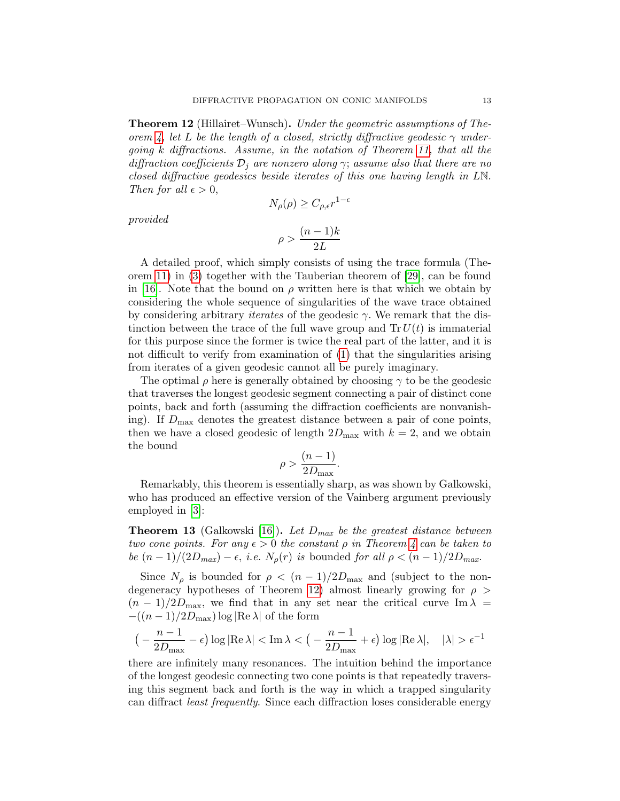<span id="page-12-0"></span>Theorem 12 (Hillairet–Wunsch). Under the geometric assumptions of The-orem [4,](#page-5-1) let L be the length of a closed, strictly diffractive geodesic  $\gamma$  undergoing k diffractions. Assume, in the notation of Theorem [11,](#page-9-0) that all the diffraction coefficients  $\mathcal{D}_i$  are nonzero along  $\gamma$ ; assume also that there are no closed diffractive geodesics beside iterates of this one having length in LN. Then for all  $\epsilon > 0$ ,

provided

$$
\rho > \frac{(n-1)k}{2L}
$$

 $N_{\rho}(\rho) \geq C_{\rho,\epsilon} r^{1-\epsilon}$ 

A detailed proof, which simply consists of using the trace formula (Theorem [11\)](#page-9-0) in [\(3\)](#page-11-0) together with the Tauberian theorem of [\[29\]](#page-14-14), can be found in [\[16\]](#page-13-21). Note that the bound on  $\rho$  written here is that which we obtain by considering the whole sequence of singularities of the wave trace obtained by considering arbitrary *iterates* of the geodesic  $\gamma$ . We remark that the distinction between the trace of the full wave group and  $Tr U(t)$  is immaterial for this purpose since the former is twice the real part of the latter, and it is not difficult to verify from examination of [\(1\)](#page-9-1) that the singularities arising from iterates of a given geodesic cannot all be purely imaginary.

The optimal  $\rho$  here is generally obtained by choosing  $\gamma$  to be the geodesic that traverses the longest geodesic segment connecting a pair of distinct cone points, back and forth (assuming the diffraction coefficients are nonvanishing). If  $D_{\text{max}}$  denotes the greatest distance between a pair of cone points, then we have a closed geodesic of length  $2D_{\text{max}}$  with  $k = 2$ , and we obtain the bound

$$
\rho > \frac{(n-1)}{2D_{\text{max}}}.
$$

Remarkably, this theorem is essentially sharp, as was shown by Galkowski, who has produced an effective version of the Vainberg argument previously employed in [\[3\]](#page-13-8):

**Theorem 13** (Galkowski [\[16\]](#page-13-21)). Let  $D_{max}$  be the greatest distance between two cone points. For any  $\epsilon > 0$  the constant  $\rho$  in Theorem [4](#page-5-1) can be taken to be  $(n-1)/(2D_{max})-\epsilon$ , *i.e.*  $N_{\rho}(r)$  is bounded for all  $\rho < (n-1)/2D_{max}$ .

Since  $N_\rho$  is bounded for  $\rho < (n-1)/2D_{\text{max}}$  and (subject to the non-degeneracy hypotheses of Theorem [12\)](#page-12-0) almost linearly growing for  $\rho >$  $(n-1)/2D_{\text{max}}$ , we find that in any set near the critical curve Im  $\lambda =$  $-(n-1)/2D_{\text{max}})\log|\text{Re }\lambda|$  of the form

$$
\big(-\frac{n-1}{2D_{\max}}-\epsilon\big)\log|\text{Re}\,\lambda|<\text{Im}\,\lambda<\big(-\frac{n-1}{2D_{\max}}+\epsilon\big)\log|\text{Re}\,\lambda|,\quad |\lambda|>\epsilon^{-1}
$$

there are infinitely many resonances. The intuition behind the importance of the longest geodesic connecting two cone points is that repeatedly traversing this segment back and forth is the way in which a trapped singularity can diffract least frequently. Since each diffraction loses considerable energy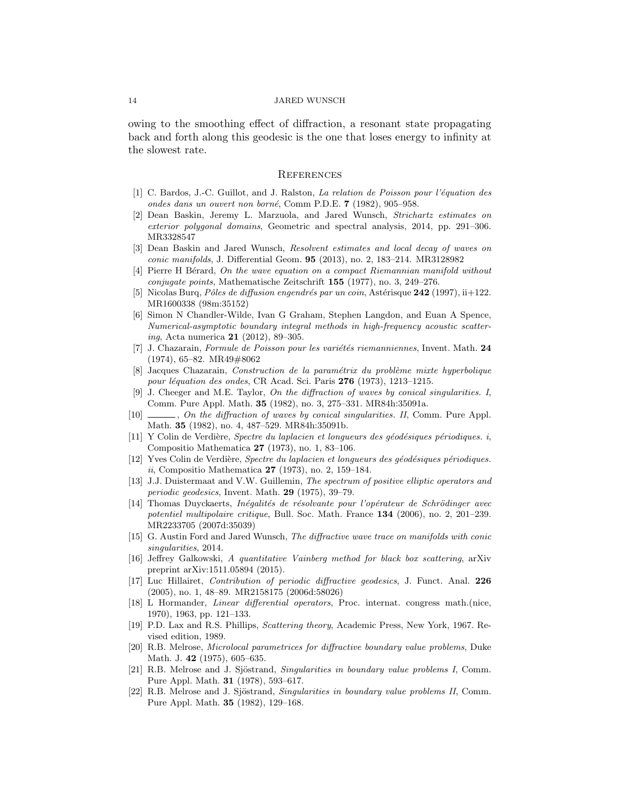owing to the smoothing effect of diffraction, a resonant state propagating back and forth along this geodesic is the one that loses energy to infinity at the slowest rate.

#### **REFERENCES**

- <span id="page-13-20"></span>[1] C. Bardos, J.-C. Guillot, and J. Ralston, *La relation de Poisson pour l'équation des* ondes dans un ouvert non borné, Comm P.D.E. 7 (1982), 905–958.
- <span id="page-13-12"></span>[2] Dean Baskin, Jeremy L. Marzuola, and Jared Wunsch, Strichartz estimates on exterior polygonal domains, Geometric and spectral analysis, 2014, pp. 291–306. MR3328547
- <span id="page-13-8"></span>[3] Dean Baskin and Jared Wunsch, Resolvent estimates and local decay of waves on conic manifolds, J. Differential Geom. 95 (2013), no. 2, 183–214. MR3128982
- <span id="page-13-18"></span>[4] Pierre H Bérard, On the wave equation on a compact Riemannian manifold without conjugate points, Mathematische Zeitschrift 155 (1977), no. 3, 249–276.
- <span id="page-13-11"></span>Nicolas Burq, Pôles de diffusion engendrés par un coin, Astérisque 242 (1997), ii+122. MR1600338 (98m:35152)
- <span id="page-13-7"></span>[6] Simon N Chandler-Wilde, Ivan G Graham, Stephen Langdon, and Euan A Spence, Numerical-asymptotic boundary integral methods in high-frequency acoustic scattering, Acta numerica 21 (2012), 89–305.
- <span id="page-13-13"></span> $[7]$  J. Chazarain, Formule de Poisson pour les variétés riemanniennes, Invent. Math. 24 (1974), 65–82. MR49#8062
- <span id="page-13-1"></span> $[8]$  Jacques Chazarain, Construction de la paramétrix du problème mixte hyperbolique pour léquation des ondes, CR Acad. Sci. Paris  $276$  (1973), 1213–1215.
- <span id="page-13-19"></span>J. Cheeger and M.E. Taylor, On the diffraction of waves by conical singularities. I, Comm. Pure Appl. Math. 35 (1982), no. 3, 275–331. MR84h:35091a.
- <span id="page-13-9"></span>[10] , On the diffraction of waves by conical singularities. II, Comm. Pure Appl. Math. 35 (1982), no. 4, 487–529. MR84h:35091b.
- <span id="page-13-15"></span> $[11]$  Y Colin de Verdière, Spectre du laplacien et longueurs des géodésiques périodiques. i, Compositio Mathematica 27 (1973), no. 1, 83–106.
- <span id="page-13-16"></span>[12] Yves Colin de Verdière, Spectre du laplacien et longueurs des géodésiques périodiques. ii, Compositio Mathematica 27 (1973), no. 2, 159–184.
- <span id="page-13-14"></span>[13] J.J. Duistermaat and V.W. Guillemin, The spectrum of positive elliptic operators and periodic geodesics, Invent. Math. 29 (1975), 39–79.
- <span id="page-13-10"></span>[14] Thomas Duyckaerts, Inégalités de résolvante pour l'opérateur de Schrödinger avec potentiel multipolaire critique, Bull. Soc. Math. France 134 (2006), no. 2, 201–239. MR2233705 (2007d:35039)
- <span id="page-13-17"></span>[15] G. Austin Ford and Jared Wunsch, The diffractive wave trace on manifolds with conic singularities, 2014.
- <span id="page-13-21"></span>[16] Jeffrey Galkowski, A quantitative Vainberg method for black box scattering, arXiv preprint arXiv:1511.05894 (2015).
- <span id="page-13-5"></span>[17] Luc Hillairet, Contribution of periodic diffractive geodesics, J. Funct. Anal. 226 (2005), no. 1, 48–89. MR2158175 (2006d:58026)
- <span id="page-13-0"></span>[18] L Hormander, Linear differential operators, Proc. internat. congress math.(nice, 1970), 1963, pp. 121–133.
- <span id="page-13-6"></span>[19] P.D. Lax and R.S. Phillips, Scattering theory, Academic Press, New York, 1967. Revised edition, 1989.
- <span id="page-13-4"></span>[20] R.B. Melrose, Microlocal parametrices for diffractive boundary value problems, Duke Math. J. 42 (1975), 605–635.
- <span id="page-13-2"></span>[21] R.B. Melrose and J. Sjöstrand, *Singularities in boundary value problems I*, Comm. Pure Appl. Math. 31 (1978), 593–617.
- <span id="page-13-3"></span>[22] R.B. Melrose and J. Sjöstrand, Singularities in boundary value problems II, Comm. Pure Appl. Math. 35 (1982), 129–168.